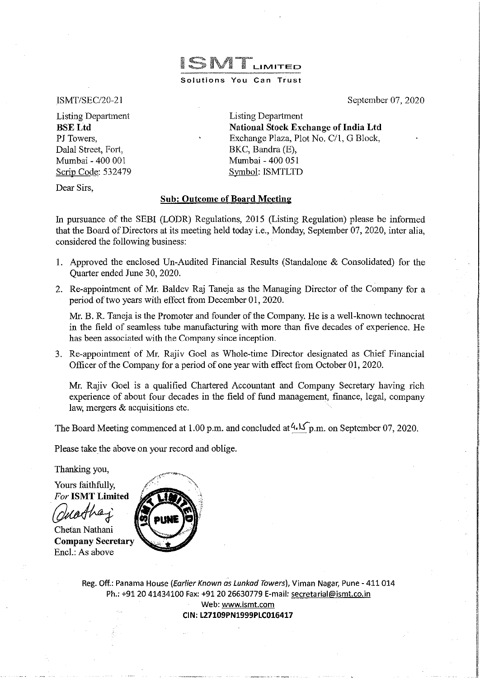ISMT/SEC/20-21

Listing Department **BSELtd**  PJ Towers, Dalal Street, Fort, Mumbai- 400 001 Scrip Code: 532479 Listing Department **National Stock Exchange of India Ltd**  Exchange Plaza, Plot No. C/1, G Block, BKC, Bandra (E), Mumbai - 400 051 Symbol: ISMTLTD

September 07, 2020

I I

I

Dear Sirs,

# **Sub: Outcome of Board Meeting**

In pursuance of the SEBI (LODR) Regulations, 2015 (Listing Regulation) please be informed that the Board of Directors at its meeting held today i.e., Monday, September 07, 2020, inter alia, considered the following business:

ISMTLIMITED

**Solutions You Can Trust** 

- I. Approved the enclosed Un-Audited Financial Results (Standalone & Consolidated) for the Quarter ended June 30, 2020.
- 2. Re-appointment of Mr. Baldev Raj Taneja as the Managing Director of the Company for a period of two years with effect from December 01,2020.

Mr. B. R. Taneja is the Promoter and founder of the Company. He is a well-known technocrat in the field of seamless tube manufacturing with more than five decades of experience. He has been associated with the Company since inception.

3. Re-appointment of Mr. Rajiv Goel as Whole-time Director designated as Chief Financial Officer of the Company for a period of one year with effect from October 01, 2020.

Mr. Rajiv Goel is a qualified Chartered Accountant and Company Secretary having rich experience of about four decades in the field of fund management, finance, legal, company law, mergers & acquisitions etc.

The Board Meeting commenced at 1.00 p.m. and concluded at  $4.15$  p.m. on September 07, 2020.

Please take the above on your record and oblige.

Thanking you,

Yours faithfully, For **ISMT Limited** 

**Company Secretary**  Encl.: As above



Reg. Off.: Panama House (*Earlier Known as Lunkad Towers*), Viman Nagar, Pune - 411 014 Ph.: +9120 41434100 Fax: +91 20 26630779 E-mail: secretarial@ismt.co.in Web: www.ismt.com **CIN:L27109PN1999PLC016417**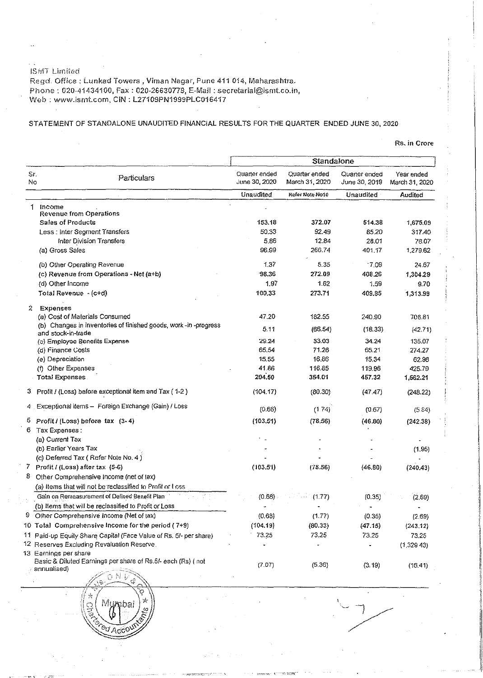JSJ\!ll Lirn!ted

Regd. Office: Lunkad Towers, Viman Nagar, Pune 411 014, Maharashtra, Pl1one: 020-41434100, Fax: 020-26630779, E-Mail: secretarial@ismt.co.in, Web: www.ismt.com, CIN: L27109PN1999PLC016417

*<u>PO Acc</u>* 

# STATEMENT OF STANDALONE UNAUDITED FINANCIAL RESULTS FOR THE QUARTER ENDED JUNE 30,2020

## **Rs. in Crore**

|           |                                                                                        | Standalone                     |                                 |                                |                              |
|-----------|----------------------------------------------------------------------------------------|--------------------------------|---------------------------------|--------------------------------|------------------------------|
| Sr.<br>No | Particulars                                                                            | Quarter ended<br>June 30, 2020 | Quarter ended<br>March 31, 2020 | Quarter ended<br>June 30, 2019 | Year ended<br>March 31, 2020 |
|           |                                                                                        | Unaudited                      | Refer Note No10                 | Unaudited                      | Audited                      |
| 1.        | income                                                                                 |                                |                                 |                                |                              |
|           | <b>Revenue from Operations</b><br>Sales of Products                                    | 153.18                         | 372.07                          | 514.38                         |                              |
|           | Less: Inter Segment Transfers                                                          | 50.33                          | 92.49                           | 85.20                          | 1,675.09<br>317.40           |
|           | Inter Division Transfers                                                               | 5.86                           | 12.84                           | 28.01                          | 78.07                        |
|           | (a) Gross Sales                                                                        | 96.99                          | 266.74                          | 401.17                         | 1,279.62                     |
|           |                                                                                        | 1.37                           | 5.35                            | .7.09                          | 24.67                        |
|           | (b) Other Operating Revenue                                                            |                                |                                 |                                |                              |
|           | (c) Revenue from Operations - Net (a+b)                                                | 98.36                          | 272.09                          | 408.26                         | 1,304.29                     |
|           | (d) Other Income                                                                       | 1.97                           | 1.62                            | 1.59                           | 9.70                         |
|           | Total Revenue - (c+d)                                                                  | 100.33                         | 273.71                          | 409.85                         | 1,313.99                     |
| 2         | Expenses                                                                               |                                |                                 |                                |                              |
|           | (a) Cost of Materials Consumed                                                         | 47.20                          | 182.55                          | 240.90                         | 706.81                       |
|           | (b) Changes in inventories of finished goods, work -in -progress<br>and stock-in-trade | 5.11                           | (66.54)                         | (18.33)                        | (42.71)                      |
|           | (c) Employee Benefits Expense                                                          | 29.24                          | 33.03                           | 34.24                          | 135.07                       |
|           | (d) Finance Costs                                                                      | 65,54                          | 71.26                           | 65.21                          | 274.27                       |
|           | (e) Depreciation                                                                       | 15.55                          | 16.86                           | 15.34                          | 62.98                        |
|           | (f) Other Expenses                                                                     | 41.86                          | 116.85                          | 119.96                         | 425.79                       |
|           | <b>Total Expenses</b>                                                                  | 204.50                         | 354.01                          | 457.32                         | 1,562.21                     |
| з         | Profit / (Loss) before exceptional item and Tax (1-2)                                  | (104.17)                       | (80.30)                         | (47, 47)                       | (248.22)                     |
|           | 4 Exceptional items - Foreign Exchange (Gain) / Loss                                   | (0.66)                         | (174)                           | (0.67)                         | (5.84)                       |
| 5         | Profit/(Loss) before tax (3-4)                                                         | (103.51)                       | (78.56)                         | (46.80)                        | (242.38)                     |
| 6.        | Tax Expenses :                                                                         |                                |                                 |                                |                              |
|           | (a) Current Tax                                                                        |                                |                                 |                                |                              |
|           | (b) Earlier Years Tax                                                                  |                                |                                 |                                | (1.95)                       |
|           | (c) Deferred Tax (Refer Note No. 4)                                                    |                                |                                 |                                |                              |
|           | $7$ Profit $1$ (Loss) after tax $(5-6)$                                                | (103.51)                       | (78.56)                         | (46.80)                        | (240.43)                     |
| 8         | Other Comprehensive Income (net of tax)                                                |                                |                                 |                                |                              |
|           | (a) Items that will not be reclassified to Profit or Loss                              |                                |                                 |                                |                              |
|           | Gain on Remeasurement of Defined Benefit Plan                                          | (0.68)                         | (1.77)                          | (0.35)                         | (2.69)                       |
|           | (b) Items that will be reclassified to Profit or Loss                                  |                                |                                 |                                |                              |
|           | 9 Other Comprehensive Income (Net of tax)                                              | (0.68)                         | (1.77)                          | (0.35)                         | (2.69)                       |
|           | 10 Total Comprehensive Income for the period (7+9)                                     | (104.19)                       | (80.33)                         | (47.15)                        | (243.12)                     |
|           | 11 Paid-up Equily Share Capital (Face Value of Rs. 5/- per share)                      | 73.25                          | 73.25                           | 73.25                          | 73.25                        |
|           | <sup>12</sup> Reserves Excluding Revaluation Reserve.                                  |                                |                                 |                                | (1,329.43)                   |
|           | 13 Earnings per share                                                                  |                                |                                 |                                |                              |
|           | Basic & Diluted Earnings per share of Rs.5/- each (Rs) ( not                           |                                |                                 |                                |                              |
|           | annualised)                                                                            | (7.07)                         | (5.36)                          | (3.19)                         | (16.41)                      |
|           | 科長                                                                                     |                                |                                 |                                |                              |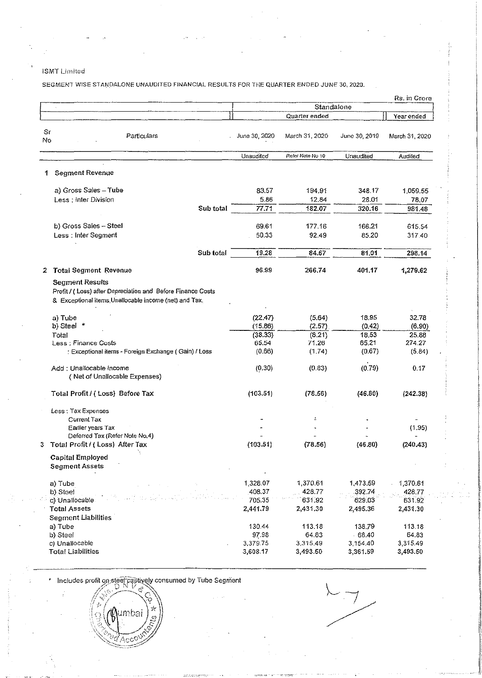## ISMT Limited

SEGMENT WISE STANDALONE UNAUDITED FINANCIAL RESULTS FOR THE QUARTER ENDED JUNE 30, 2020.

|          |                                                                                                                                                 |               |                  |               | Rs. in Crore   |
|----------|-------------------------------------------------------------------------------------------------------------------------------------------------|---------------|------------------|---------------|----------------|
|          |                                                                                                                                                 |               | Standalone       |               |                |
|          |                                                                                                                                                 |               | Quarter ended    |               | Year ended     |
|          |                                                                                                                                                 |               |                  |               |                |
| Sr<br>No | Particulars                                                                                                                                     | June 30, 2020 | March 31, 2020   | June 30, 2019 | March 31, 2020 |
|          |                                                                                                                                                 | Unaudited     | Refer Note No 10 | Unaudited     | Audited        |
| 1.       | <b>Segment Revenue</b>                                                                                                                          |               |                  |               |                |
|          | a) Gross Sales - Tube                                                                                                                           | 83.57         | 194.91           | 348.17        | 1,059.55       |
|          | Less: Inter Division                                                                                                                            | 5.86          | 12.84            | 28.01         | 78.07          |
|          | Sub total                                                                                                                                       | 77.71         | 182.07           | 320.16        | 981.48         |
|          | b) Gross Sales - Steel                                                                                                                          | 69.61         | 177.16           | 166.21        | 615.54         |
|          | Less : Inter Segment                                                                                                                            | 50.33         | 92.49            | 85,20         | 317.40         |
|          | Sub total                                                                                                                                       | 19.28         | 84.67            | 81,01         | 298.14         |
| 2        | <b>Total Segment Revenue</b>                                                                                                                    | 96.99         | 266.74           | 401.17        | 1,279.62       |
|          | <b>Segment Results</b><br>Profit / (Loss) after Depreciation and Before Finance Costs<br>& Exceptional items, Unallocable income (net) and Tax. |               |                  |               |                |
|          | a) Tube                                                                                                                                         | (22.47)       | (5.64)           | 18.95         | 32.78          |
|          | b) Steel *                                                                                                                                      | (15.86)       | (2.57)           | (0.42)        | (6.90)         |
|          | Total                                                                                                                                           | (38.33)       | (8.21)           | 18,53         | 25.88          |
|          | Less : Finance Costs                                                                                                                            | 65.54         | 71.26            | 65,21         | 274.27         |
|          | : Exceptional items - Foreign Exchange (Gain) / Loss                                                                                            | (0.66)        | (1.74)           | (0.67)        | (5.84)         |
|          | Add: Unallocable Income<br>(Net of Unallocable Expenses)                                                                                        | (0.30)        | (0.83)           | (0.79)        | 0.17           |
|          | Total Profit / (Loss) Before Tax                                                                                                                | (103.51)      | (78.56)          | (46.80)       | (242.38)       |
|          | Less: Tax Expenses                                                                                                                              |               |                  |               |                |
|          | Current Tax                                                                                                                                     |               | ÷                |               |                |
|          | Earlier years Tax<br>Deferred Tax (Refer Note No.4)                                                                                             |               |                  |               | (1.95)         |
|          | 3 Total Profit / (Loss) After Tax                                                                                                               | (103.51)      | (78.56)          | (46.80)       | (240.43)       |
|          | <b>Capital Employed</b><br><b>Segment Assets</b>                                                                                                |               |                  |               |                |
|          | a) Tube                                                                                                                                         | 1 328.07      | 1,370.61         | 1,473.59      | 1,370.61       |
|          | b) Steel                                                                                                                                        | 408.37        | 428.77           | 392.74        | 428.77         |
|          | c) Unatlocable                                                                                                                                  | 705.35        | 63192            | 629.03        | 631 92         |
|          | <b>Total Assets</b>                                                                                                                             | 2,441.79      | 2,431.30         | 2,495.36      | 2,431.30       |
|          | <b>Segment Liabilities</b>                                                                                                                      |               |                  |               |                |
|          | a) Tube                                                                                                                                         | 130.44        | 113.18           | 138.79        | 113.18         |
|          | b) Steel                                                                                                                                        | 97.98         | 64.83            | 68.40         | 64.83          |
|          | c) Unallocable                                                                                                                                  | 3,379.75      | 3,315.49         | 3,154.40      | 3,315.49       |
|          | <b>Total Liabilities</b>                                                                                                                        | 3,608.17      | 3,493.50         | 3,361.59      | 3,493.50       |

Includes profit on steel captively consumed by Tube Segment

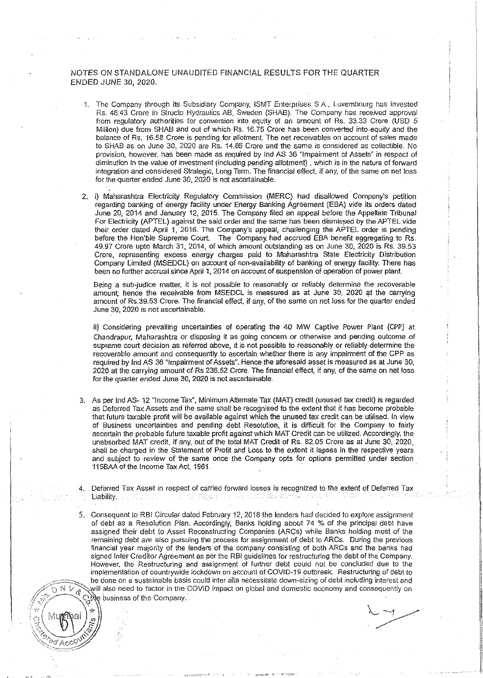### NOTES ON STANDALONE UNAUDITED FINANCIAL RESULTS FOR THE QUARTER ENDED JUNE 30, 2020.

- 1. The Company through its Subsidiary Company, ISMT Enterprises SA, Luxembourg has invested Rs. 48.43 Crore in Structo Hydraulics AB, Sweden (SHAB). The Company has received approval from regulatory authorities for conversion into equity of an amount of Rs. 33.33 Crore (USD 5 Million) due from SHAB and out of which Rs. 16.75 Crore has been converted into· equity and the balance of Rs. 16.58 Crore is pending for allotment. The net receivables on account of sales made to SHAB as on June 30, 2020 are Rs. 14.86 Crore and the same is considered as collectible. No provision, however. has been made as required by lnd AS 36 "'lmpainment of Assets" in respect of diminution in the value of investment (including pending allotment) , which is in the nature of forward integration and considered Strategic, Long Term. The financial effect, if any, of the same on net loss for the quarter ended June 30, 2020 is not ascertainable.
- 2. i) Maharashtra Electricity Regulatory Commission (MERC) had disallowed Company's petition regarding banking of energy facility under Energy Banking Agreement (EBA) vide its orders dated June 20, 2014 and January 12, 2015. The Company filed an appeal before the Appellate Tribunal For Electricity (APTEL) against the said order and the same has been dismissed by the APTEL vide their order dated April 1, 2016. The Company's appeal, challenging the APTEL order is pending before the Hon'ble Supreme Court. The Company. had accrued EBA benefit aggregating to Rs. 49.97 Crore upto March 31, 2014, of which amount outstanding as on June 30, 2020 is Rs. 39.53 Crore, representing excess energy charges paid to Maharashtra State Electricity Distribution Company limited (MSEDCL) on account of non-availabiltty of banking of energy facility. There has been no further accrual since April 1, 2014 on account of suspension of operation of power plant.

Being a sub-judice matter, it is not possible to reasonably or reliably determine the recoverable amount; hence the receivable from MSEDCL is measured as at June 30, 2020 at the carrying amount of Rs.39.53 Crore. The financial effect, if any, of the same on net loss for the quarter ended June 30, 2020 is not ascertainable.

ii) Considering prevailing uncertainties of operating the 40 MW Captive Power Plant (CPP) at Chandrapur. Maharashtra or disposing it as going concern or otherwise and pending outcome of supreme court decision as referred above, it is not possible to reasonably or reliably determine the recoverable amount and consequently to ascertain whether there is any impairment of the CPP as required by lnd AS 36 "Impairment of Assets". Hence the aforesaid asset is measured as at June 30, 2020 at the carrying amount of Rs 236.52 Crore. The financial effect, if any, of the same on net loss for the quarter ended June 30, 2020 is not ascertainable.

- 3, As per lnd AS- 12 "Income Tax", Minimum Alternate Tax (MAT) credit (unused tax credit) is regarded as Deferred Tax Assets and the same shall be recognised to the extent that it has become probable that future taxable profit will be available against which the unused tax credit can be utilised. In view of Business uncertainttes and pending debt Resolution, it is difficult for the Company to fairly ascertain the probable future taxable profit against which MAT Credit can be utilized. Accordingly, the unabsorbed MAT credit, if any, out of the total MAT Credit of Rs. 82.05 Crore as at June 30, 2020, shall be charged in the Statement of Profit and Loss to the extent it lapses in the respective years and subject to review of the same once the Company opts for options permitted under section 115BAAof the Income Tax Act, 1961.
- 4. Deferred Tax Asset in respect of carried forward losses is recognized to the extent of Deferred Tax Liability. **The Company of the Company** 다 (원로 )의

:j iJ! !: In the second contract of the second contract of the second contract of the second contract of the second contract of the second contract of the second contract of the second contract of the second contract of the second c

I

5. Consequent to RBI Circular dated February 12, 2018 the lenders had decided to explore assignment of debt as a Resolution Plan. Accordingly, Banks holding about 74 % of the principal debt have assigned their debt to Asset Reconstructing Companies (ARCs) while Banks holding most of the remaining debt are also pursuing the process for assignment of debt to ARCs. During the previous financial year majority of the lenders of the company consisting of both ARCs and the banks had signed Inter Creditor Agreement as per the RBI guidelines for restructuring the debt of the Company. However, the Restructuring and assignment of further debt could not be concluded due to the implementation of countrywide lockdown on account of COVID-19 outbreak. Restructuring of debt to be done on a sustainable basis could inter alia necessitate down-sizing of debt including interest and  $N \vee_{\mathcal{C}}$  will also need to factor in the COVID impact on global and domestic economy and consequently on  $\mathcal{C}(\mathbb{R})$  business of the Company.

 $\frac{1}{2}$   $\left(\text{Mugapal}\right)$   $\frac{1}{2}$  .

 $\mathbb{P}^{\ast}\mathbb{P}$  .  $\mathbb{P}^{\ast}\mathbb{P}$  . The Company is the Company in .  $\mathbb{P}^{\ast}$ 

 $\mathbb{C}\left(\mathbb{C}^n\setminus\mathbb{C}\right)$ 

 $\sqrt{2dA_0}$ COU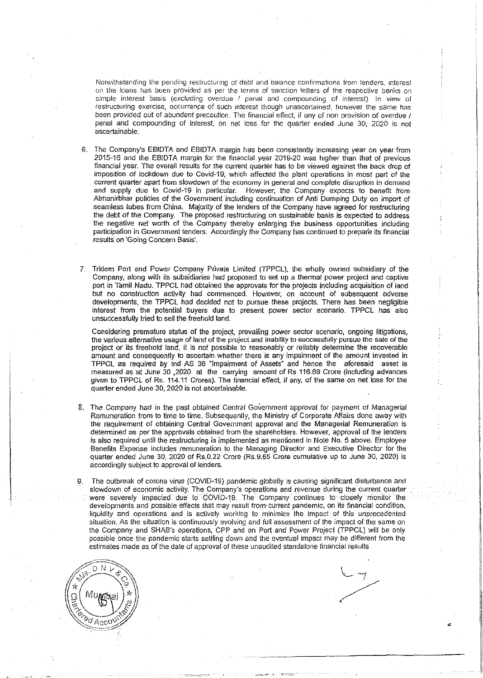Notwithstanding the pending restructuring of deb! and baiance confirmations from lenders, interest on the loans has been provided as per the terms of sanction letters of the respective banks on simple interest basis (excluding overdue / penal and compounding of interest). In view of restructuring exercise, occurrence of such interest though unascertained, however the same has been provided out of abundant precaution. The financial effect, if any of non provision of overdue 1 penal and compounding of interest, on net loss for the quarter ended June 30, 2020 is not ascertainable.

- 6. The Company's EBIDTA and EBIDTA margin has been consistently Increasing year on year from 2015-16 and the EBIDTA margin for the financial year 2019-20 was higher than that of previous financial year. The overall results for the current quarter has to be viewed against the back drop of imposition of lockdown due to Covid-19, which affected the plant operations in most part of the current quarter apart from slowdown of the economy in general and complete disruption in demand and supply due to Covid-19 in particular. However, the Company expects to benefit from Atmanirbhar policies of the Government including continuation of Anti Dumping Duty on import of seamless tubes from China. Majority of the lenders of the Company have agreed for restructuring the debt of the Company\_ The proposed restructuring on sustainable basis is expected to address the negative net worth of the Company thereby enlarging the business opportunities including participation in Government tenders. Accordingly the Company has continued to prepare its financial results on 'Going Concern Basis'.
- 7. Tridem Port and Power Company Private Limited (TPPCL), the wholly owned subsidiary of the Company, along with its subsidiaries had proposed to set up a thermal power project and captive port in Tamil Nadu. TPPCL had obtained the approvals tor the projects including acquisition of land but no construction activity had commenced. However, on account of subsequent adverse developments, the TPPCL had decided not to pursue these projects\_ There has been negligible interest from the potential buyers due to present power sector scenario. TPPCL has also unsuccessfully tried *to* sell the freehold land.

Considering premature status of the project, prevailing power sector scenario, ongoing litigations, the various alternative usage of land of the project and inability to successfully pursue the sale of the project or its freehold land, it is not possible to reasonably or reliably detennine the recoverable amount and consequently to ascertain whether there is any impairment of the amount invested in TPPCL as required by lnd AS 36 "Impairment of Assets" and hence the aforesaid asset is measured as at June 30 ,2020 at the carrying amount of Rs 116.69 Crore (including advances given to TPPCL of Rs. 114.11 Crores). The financial effect. if any, of the same on net loss for the quarter ended June 30, 2020 is not ascertainable\_

- 8. The Company had in the past obtained Central Government approval for payment of Managerial Remuneration from to time to time. Subsequently, the Ministry of Corporate Affairs done away witll the requirement of obtaining Central Government approval and the Managerial Remuneration is determined as per the approvals obtained from the shareholders. However, approval of the lenders is also required until the restructuring is implemented as mentioned in Note No. 5 above. Employee Benefits Expense includes remuneration to the Managing Director and Executive Director for the quarter ended June 30, 2020 of Rs.0.22 Crore (Rs.9.65 Crore cumulative up to June 30, 2020) is accordingly subject to approval of lenders.
- 9. The outbreak of corona virus (COVID-19) pandemic globally is causing significant disturbance and slowdown of economic activity. The Company's operations and revenue during the current quarter were severely impacted due to COVID-19. The Company continues to closely monitor the developments and possible effects that may result from· current pandemic, on its financial condition, liquidity and operations and is actively working to minimize the impact of this unprecedented situation. As the situation is continuously evolving and full assessment of the impact of the same on the Company and SHAB's operations, CPP and on Port and Power Project (TPPCL) will be only possible once the pandemic starts settling down and the eventual impact may be different from the estimates made as of the date of approval of these unaudited standalone financial results

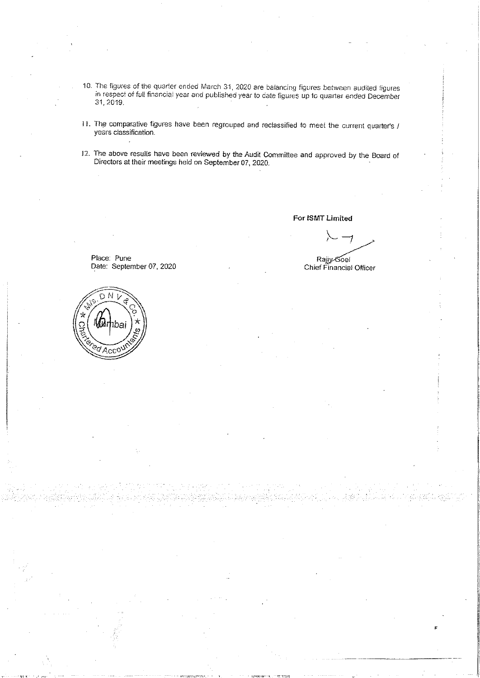- 10. The figures of the quarter ended March 31, 2020 are balancing figures between audited figures in respect of full financial year and published year to date figures up to quarter ended December 31,2019.
- 11. The comparative figures have been regrouped and reclassified to meet the current quarter's *I* years classification.
- 12. The above results have been reviewed by the Audit Committee and approved by the Board of Directors at their meetings held on September 07, 2020.

For ISMT Limited

 $\lambda$   $\rightarrow$ <br> $\lambda$   $\rightarrow$ <br> $\lambda$ <br> $\rightarrow$   $\lambda$   $\rightarrow$   $\lambda$   $\rightarrow$   $\lambda$   $\rightarrow$   $\lambda$   $\rightarrow$   $\lambda$   $\rightarrow$   $\lambda$   $\rightarrow$   $\lambda$   $\rightarrow$   $\lambda$   $\rightarrow$   $\lambda$   $\rightarrow$   $\lambda$   $\rightarrow$   $\lambda$   $\rightarrow$   $\lambda$   $\rightarrow$   $\lambda$   $\rightarrow$   $\lambda$   $\rightarrow$   $\lambda$   $\rightarrow$   $\lambda$   $\rightarrow$   $\lambda$   $\rightarrow$   $\lambda$   $\rightarrow$   $\lambda$   $\rightarrow$ 

Rajiy Soel Chief Financial Officer

Place: Pune Date: September 07, 2020

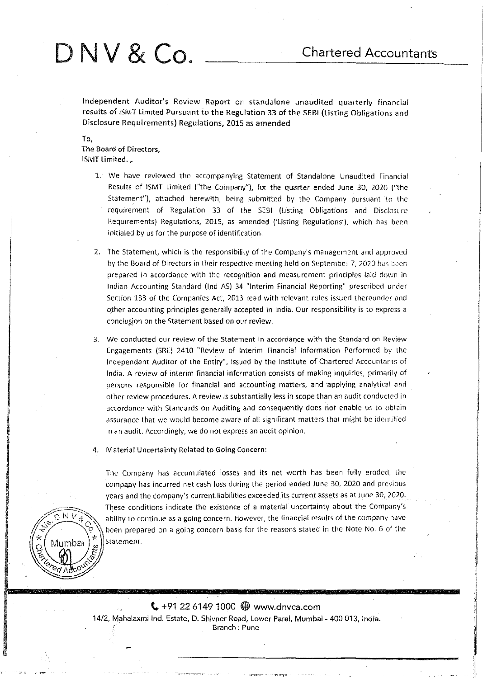I 1:

I' i!

<u>International Communication</u>

# D N V & Co. \_\_\_\_ Chartered Accountants

Independent Auditor's Review Report on standalone unaudited quarterly financial results of ISMT Limited Pursuant io the Regulation 33 of the SEBI (Listing Obligations and Disclosure Requirements) Regulations, 2015 as amended

To,

 $\sqrt[3]{\frac{1}{2}}$   $\sqrt[3]{\frac{1}{2}}$  $\frac{1}{2}$   $\frac{1}{2}$   $\frac{1}{2}$   $\frac{1}{2}$   $\frac{1}{2}$   $\frac{1}{2}$   $\frac{1}{2}$   $\frac{1}{2}$   $\frac{1}{2}$   $\frac{1}{2}$   $\frac{1}{2}$   $\frac{1}{2}$   $\frac{1}{2}$   $\frac{1}{2}$   $\frac{1}{2}$   $\frac{1}{2}$   $\frac{1}{2}$   $\frac{1}{2}$   $\frac{1}{2}$   $\frac{1}{2}$   $\frac{1}{2}$   $\frac{1}{2}$  ed Adco

The Board of Directors, ISMT Limited.\_

- 1. We have reviewed the accompanying Statement of Standalone Unaudited financial Results of ISMT Limited ("the Company"). for the quarter ended June 30, 2020 ("the Statement"). attached herewith, being submitted by the Company pursuant to the requirement of Regulation 33 of the SEBI (Listing Obligations and Disciosurc Requirements) Regulations, 2015, as amended ('Listing Regulations'), which has boen initialed by us for the purpose of identification.
- 2. The Statement, which is the responsibility of the Company's management and approved by the Board of Directors in their respective meeting held on September 7, 2020 has been **prepared in accordance with the recognition and measurement principles laid down in**  Indian Accounting Standard (lnd AS) 34 "Interim Financial Reporting" prescribed under Section 133 of the Companies Act, 2013 read with relevant rules issued thereunder and other accounting principles generally accepted in India. Our responsibility is to express a conclusion on the Statement based on our review.
- **3. we conducted our review of the Statement in accordance with the Standard on Heview**  Engagements (SRE) 2410 "Review of Interim Financial Information Performed by ttrc Independent Auditor of the Entity", issued by the Institute of Chartered Accountants of India. A review of interim financial information consists of making inquiries, primorily of persons responsible for financial and accounting matters, and applying analytical and other review procedures. A review is substantially less in scope than an audit conducted in accordance with Standards on Auditing and consequently does not enable us to obtain assurance that we would become aware of all significant matters that might be identified **in an audit. Accordingly, we do not express an audit opinion.**
- 4. Material Uncertainty Related to Going Concern:

The Company has accumulated losses and its net worth has been fully eroded, the company has incurred net cash loss during the period ended June 30, 2020 and previous years and the company's current liabilities exceeded its current assets as at June 30, 2020. These conditions indicate the existence of a material uncertainty about the Company's<br>N V a shill use of the continue as a going concern. However, the financial results of the company have ability to continue as a going concern. However, the financial results of the company have been prepared on a going concern basis for the reasons stated in the Note No. 6 of the **Mumbai**  $\binom{1}{n}$  statement.

> $\binom{4}{7}$  +91 22 6149 1000  $\bigoplus$  www.dnvca.com 14/2, Mahalaxmi Ind. Estate, D. Shivner Road, Lower Pare!, Mumbai- 400 013, India. **Branch : Pune**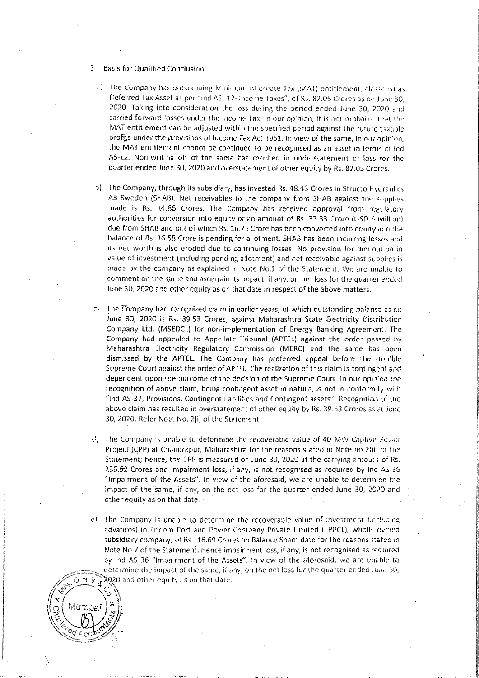- 5. Basis for Qualified Conclusion:
	- a) The Company has outstanding Minimum Alternate Tax (MAT) entitlement, classified as Deferred Tax Asset as per "thd AS 12- Income Taxes", of Rs. 82.05 Crores as on June 30, 2020. Taking into consideration the loss during the period ended June 30, 2020 and carried forward losses under the Income Tax, in our opinion, it is not probable that the MAT entitlement can be adjusted within the specified period against the future taxable profits under the provisions of Income Tax Act 1961. In view of the same, in our opinion, the MAT entitlement cannot be continued to be recognised as an asset in terms of Ind AS-12. Non-writing off of the same has resulted in understatement of loss for the quarter ended June 30, 2020 and overstatement of other equity by Rs. 82.05 Crores.
	- b) The Company, through its subsidiary, has invested Rs. 48.43 Crores in Structo Hydraulics AB Sweden (SHAB). Net receivables to the company from SHAB against the supplies made is Rs. 14.86 Crores. The Company has received approval from regulatory authorities for conversion into equity of an amount of Rs. 33.33 Crore (USD 5 Million) due from SHAB and out of which Rs. 16.75 Crore has been converted into equity and the balance of Rs. 16.58 Crore is pending for allotment. SHAB has been incurring losses and its net worth is also eroded due to continuing losses. No provision for diminution in value of investment (including pending allotment) and net receivable against supplies is made by the company as explained in Note No.1 of the Statement. We are unable to comment on the same and ascertain its impact, if any, on net loss for the quarter ended June 30, 2020 and other equity as on that date in respect of the above matters.
- c) The Company had recognized claim in earlier years, of which outstanding balance as on June 30, 2020 is Rs. 39.53 Crores, against Maharashtra State Electricity Distribution Company Ltd. (MSEDCL) for non-implementation of Energy Banking Agreement. The Company had appealed to Appellate Tribunal (APTEL) against the order passed by Maharashtra Electricity Regulatory Commission (MERC) and the same has been dismissed by the APTEL. The Company has preferred appeal before the Hon'ble Supreme Court against the order of APTEL. The realization of this claim is contingent and dependent upon the outcome of the decision of the Supreme Court. In our opinion the recognition of above claim, being contingent asset in nature, is not in conformity with "Ind AS-37, Provisions, Contingent liabilities and Contingent assets". Recognition of the above claim has resulted in overstatement of other equity by Rs. 39.53 Crores as at June 30, 2020. Refer Note No. 2(i) of the Statement.
- The Company is unable to determine the recoverable value of 40 MW Captive Power d). Project (CPP) at Chandrapur, Maharashtra for the reasons stated in Note no 2(ii) of the Statement; hence, the CPP is measured on June 30, 2020 at the carrying amount of Rs. 236.52 Crores and impairment loss, if any, is not recognised as required by Ind AS 36 "Impairment of the Assets". In view of the aforesaid, we are unable to determine the impact of the same, if any, on the net loss for the quarter ended June 30, 2020 and other equity as on that date.
- e) The Company is unable to determine the recoverable value of investment (including advances) in Tridem Port and Power Company Private Limited (TPPCL), wholly owned subsidiary company, of Rs 116.69 Crores on Balance Sheet date for the reasons stated in Note No.7 of the Statement. Hence impairment loss, if any, is not recognised as required by Ind AS 36 "Impairment of the Assets". In view of the aforesaid, we are unable to determine the impact of the same, if any, on the net loss for the quarter ended June 30,  $\Im Q$ 20 and other equity as on that date.

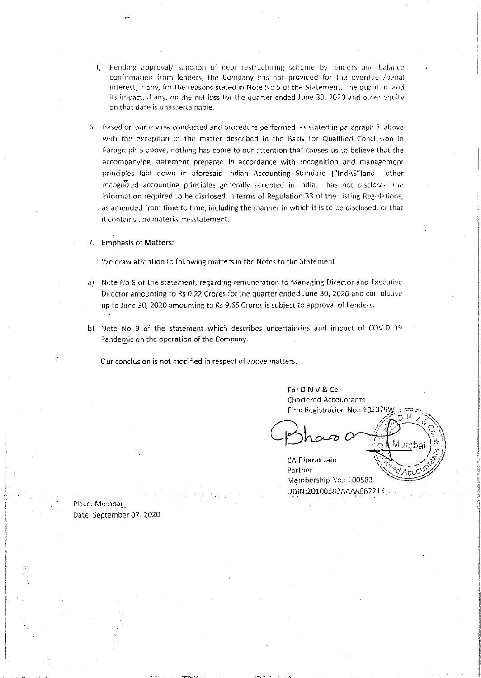- !) Pending approval/ sanction of debt restructuring scheme by lenders and balance confirmation from lenders, the Company has not provided for the overdue /penal interest, if any, for the reasons stated in Note No 5 of the Statement. The quanturn and its impact, if any, on the net loss for the quarter ended June 30, 2020 and other equity on that date is unascertainable.
- G. HdS(~d on our review conducted and procedure performed as stated in paragrapi1 3 dhovc with the exception of the matter described in the Basis for Qualified Conclusion in Paragraph 5 above, nothing has come to our attention that causes us to believe that the accompanying statement prepared in accordance with recognition and management principles laid down in aforesaid Indian Accounting Standard ("lndAS")and other recognized accounting principles generally accepted in India, has not disclosed the information required to be disclosed in terms of Regulation 33 of the Listing Regulations, as amended from time to time, including the manner in which it is to be disclosed, or that it contains any material misstatement.
- 7. Emphasis of Matters:

We draw attention to following matters in the Notes to the Statement:

- a) Note No 8 of the statement, regarding remuneration to Managing Director and Executive Director amounting to Rs 0.22 Crores for the quarter ended June 30, 2020 and cumulative up to June 30, 2020 amounting to Rs.9.65 Crorcs is subject to approval of Lenders.
- b) Note No 9 of the statement which describes uncertainties and impact of COVID 19 Pandemic on the operation of the Company.

Our conclusion is not modified in respect of above matters.

For D N V & Co **Chartered Accountants** Firm Registration No.: 102079W

ΰNν

Acc

I

*!* 

**International** 

I

CA Bharat Jain Partner Membership No.: 100583 UDIN:20100583AAAAEB7215

Place: Mumbai Date: September 07, 2020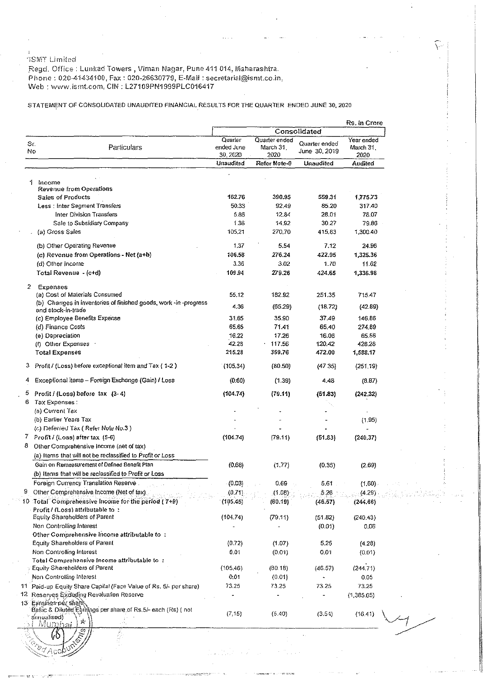··;s:vrr Limited

\_RegeL Office: Lunl<ad Towers, *Vi* man Nagar <sup>1</sup>Pune 411 014-, Maharashtra. Phone : 020-41434100, Fax : 020-26630779, E-Mail : secretarial@ismt.co.in, Web : www.ismt.com, CIN: L27109PN1999PLC016417

# STATEMENT OF CONSOLIDATED UNAUDITED FINANCIAL RESULTS FOR THE QUARTER ENDED JUNE 30, 2020

 $\zeta$  .

11

| Year ended<br>Quarter ended<br>March 31.<br>June 30, 2019<br>2020<br>Unaudited<br>Audited<br>559.31<br>1,775.73<br>85.20<br>317.40<br>28.01<br>78.07<br>30.27<br>79.66<br>415.83<br>1,300.40<br>7.12<br>24.96<br>422.95<br>1,325.36<br>1.70<br>11.62<br>424.65<br>1,336.98<br>251.35<br>715.47<br>(18.72) |                                                                                                                                                                                             |
|-----------------------------------------------------------------------------------------------------------------------------------------------------------------------------------------------------------------------------------------------------------------------------------------------------------|---------------------------------------------------------------------------------------------------------------------------------------------------------------------------------------------|
|                                                                                                                                                                                                                                                                                                           |                                                                                                                                                                                             |
|                                                                                                                                                                                                                                                                                                           |                                                                                                                                                                                             |
|                                                                                                                                                                                                                                                                                                           |                                                                                                                                                                                             |
|                                                                                                                                                                                                                                                                                                           |                                                                                                                                                                                             |
|                                                                                                                                                                                                                                                                                                           |                                                                                                                                                                                             |
|                                                                                                                                                                                                                                                                                                           |                                                                                                                                                                                             |
|                                                                                                                                                                                                                                                                                                           |                                                                                                                                                                                             |
|                                                                                                                                                                                                                                                                                                           |                                                                                                                                                                                             |
|                                                                                                                                                                                                                                                                                                           |                                                                                                                                                                                             |
|                                                                                                                                                                                                                                                                                                           |                                                                                                                                                                                             |
|                                                                                                                                                                                                                                                                                                           |                                                                                                                                                                                             |
|                                                                                                                                                                                                                                                                                                           |                                                                                                                                                                                             |
|                                                                                                                                                                                                                                                                                                           |                                                                                                                                                                                             |
|                                                                                                                                                                                                                                                                                                           |                                                                                                                                                                                             |
|                                                                                                                                                                                                                                                                                                           |                                                                                                                                                                                             |
|                                                                                                                                                                                                                                                                                                           |                                                                                                                                                                                             |
|                                                                                                                                                                                                                                                                                                           |                                                                                                                                                                                             |
| 37.49<br>146.86                                                                                                                                                                                                                                                                                           |                                                                                                                                                                                             |
| 65.40<br>274,89                                                                                                                                                                                                                                                                                           |                                                                                                                                                                                             |
| 16.06<br>65.56                                                                                                                                                                                                                                                                                            |                                                                                                                                                                                             |
| 120.42                                                                                                                                                                                                                                                                                                    |                                                                                                                                                                                             |
| 472.00<br>1,588.17                                                                                                                                                                                                                                                                                        |                                                                                                                                                                                             |
| (47.35)                                                                                                                                                                                                                                                                                                   |                                                                                                                                                                                             |
| 4,48                                                                                                                                                                                                                                                                                                      |                                                                                                                                                                                             |
| (51.83)                                                                                                                                                                                                                                                                                                   |                                                                                                                                                                                             |
|                                                                                                                                                                                                                                                                                                           |                                                                                                                                                                                             |
|                                                                                                                                                                                                                                                                                                           |                                                                                                                                                                                             |
|                                                                                                                                                                                                                                                                                                           |                                                                                                                                                                                             |
|                                                                                                                                                                                                                                                                                                           |                                                                                                                                                                                             |
|                                                                                                                                                                                                                                                                                                           |                                                                                                                                                                                             |
|                                                                                                                                                                                                                                                                                                           |                                                                                                                                                                                             |
| (0.35)                                                                                                                                                                                                                                                                                                    |                                                                                                                                                                                             |
|                                                                                                                                                                                                                                                                                                           |                                                                                                                                                                                             |
| 5.61                                                                                                                                                                                                                                                                                                      |                                                                                                                                                                                             |
| 5.26<br>(4.29)                                                                                                                                                                                                                                                                                            |                                                                                                                                                                                             |
| (46.57)<br>(244.66)                                                                                                                                                                                                                                                                                       |                                                                                                                                                                                             |
|                                                                                                                                                                                                                                                                                                           |                                                                                                                                                                                             |
|                                                                                                                                                                                                                                                                                                           |                                                                                                                                                                                             |
|                                                                                                                                                                                                                                                                                                           |                                                                                                                                                                                             |
|                                                                                                                                                                                                                                                                                                           |                                                                                                                                                                                             |
| 0.01                                                                                                                                                                                                                                                                                                      |                                                                                                                                                                                             |
|                                                                                                                                                                                                                                                                                                           |                                                                                                                                                                                             |
| (244.71)<br>(46.57)                                                                                                                                                                                                                                                                                       |                                                                                                                                                                                             |
| 0.05<br>ä,                                                                                                                                                                                                                                                                                                |                                                                                                                                                                                             |
| 73.25<br>73.25                                                                                                                                                                                                                                                                                            |                                                                                                                                                                                             |
|                                                                                                                                                                                                                                                                                                           |                                                                                                                                                                                             |
| (3.54)<br>(16.41)                                                                                                                                                                                                                                                                                         |                                                                                                                                                                                             |
|                                                                                                                                                                                                                                                                                                           | (42.89)<br>428.28<br>(251.19)<br>(8.87)<br>(242.32)<br>(1.95)<br>(51.83)<br>(240.37)<br>(2.69)<br>(1,60)<br>(51.82)<br>(240.43)<br>(0.01)<br>0.06<br>5.25<br>(4.28)<br>(0.01)<br>(1,385.65) |

a na Santa Calif.<br>Daoine an Calif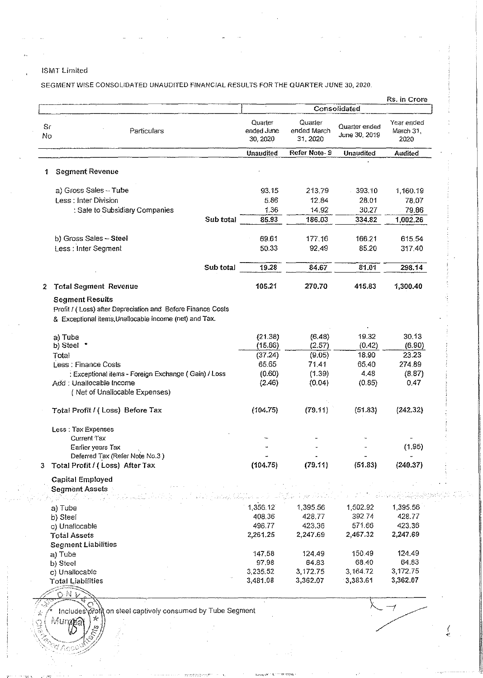**ISMT Limited** 

SEGMENT WISE CONSOLIDATED UNAUDITED FINANCIAL RESULTS FOR THE QUARTER JUNE 30, 2020.

|          |                                                                                                                                                 |                                   |                                    |                                | Rs. in Crore                    |
|----------|-------------------------------------------------------------------------------------------------------------------------------------------------|-----------------------------------|------------------------------------|--------------------------------|---------------------------------|
|          |                                                                                                                                                 |                                   |                                    | Consolidated                   |                                 |
| Sr<br>No | Particulars                                                                                                                                     | Quarter<br>ended June<br>30, 2020 | Quarter<br>ended March<br>31, 2020 | Quarter ended<br>June 30, 2019 | Year ended<br>March 31,<br>2020 |
|          |                                                                                                                                                 | Unaudited                         | Refer Note-9                       | <b>Unaudited</b>               | Audited                         |
| 1        | <b>Segment Revenue</b>                                                                                                                          |                                   |                                    |                                |                                 |
|          | a) Gross Sales - Tube                                                                                                                           | 93.15                             | 213.79                             | 393.10                         | 1,160.19                        |
|          | Less: Inter Division                                                                                                                            | 5.86                              | 12.84                              | 28.01                          | 78.07                           |
|          | : Sale to Subsidiary Companies                                                                                                                  | 1.36                              | 14.92                              | 30.27                          | 79.86                           |
|          | Sub total                                                                                                                                       | 85.93                             | 186.03                             | 334.82                         | 1,002.26                        |
|          |                                                                                                                                                 |                                   |                                    |                                |                                 |
|          | b) Gross Sales - Steel                                                                                                                          | 69.61                             | 177.16                             | 166.21                         | 615.54                          |
|          | Less : Inter Segment                                                                                                                            | 50.33                             | 92.49                              | 85.20                          | 317.40                          |
|          | Sub total                                                                                                                                       | 19.28                             | 84.67                              | 81.01                          | 298.14                          |
| 2        | <b>Total Segment Revenue</b>                                                                                                                    | 105.21                            | 270.70                             | 415.83                         | 1,300.40                        |
|          | <b>Segment Results</b><br>Profit / (Loss) after Depreciation and Before Finance Costs<br>& Exceptional items, Unallocable income (net) and Tax. |                                   |                                    |                                |                                 |
|          | a) Tube                                                                                                                                         | (21.38)                           | (6.48)                             | 19.32                          | 30.13                           |
|          | b) Steel *                                                                                                                                      | (15.86)                           | (2.57)                             | (0.42)                         | (6.90)                          |
|          | Total                                                                                                                                           | (37.24)                           | (9.05)                             | 18 90                          | 23.23                           |
|          | Less : Finance Costs                                                                                                                            | 65.65                             | 71.41                              | 65.40                          | 274.89                          |
|          | : Exceptional items - Foreign Exchange (Gain) / Loss                                                                                            | (0.60)                            | (1.39)                             | 4.48                           | (8.87)                          |
|          | Add: Unallocable Income<br>(Net of Unallocable Expenses)                                                                                        | (2.46)                            | (0.04)                             | (0.85)                         | 0.47                            |
|          | Total Profit / (Loss) Before Tax                                                                                                                | (104.75)                          | (79.11)                            | (51.83)                        | (242.32)                        |
|          | Less: Tax Expenses                                                                                                                              |                                   |                                    |                                |                                 |
|          | <b>Current Tax</b>                                                                                                                              |                                   |                                    |                                |                                 |
|          | Earlier years Tax                                                                                                                               |                                   |                                    |                                | (1.95)                          |
| 3        | Deferred Tax (Refer Note No.3)<br>Total Profit / (Loss) After Tax                                                                               | (104.75)                          | (79.11)                            | (51.83)                        | (240.37)                        |
|          |                                                                                                                                                 |                                   |                                    |                                |                                 |
|          | <b>Capital Employed</b><br>Segment Assets                                                                                                       |                                   |                                    |                                |                                 |
|          |                                                                                                                                                 |                                   |                                    |                                |                                 |
|          | a) Tube                                                                                                                                         | 1,356.12                          | 1,395.56                           | 1,502.92                       | 1,395.56                        |
|          | b) Steel                                                                                                                                        | 408.36                            | 428.77                             | 392.74                         | 428.77                          |
|          | c) Unallocable                                                                                                                                  | 496.77                            | 423.36                             | 571.66                         | 423.36                          |
|          | <b>Total Assets</b>                                                                                                                             | 2,261.25                          | 2,247.69                           | 2,467.32                       | 2,247.69                        |
|          | <b>Segment Liabilities</b>                                                                                                                      |                                   |                                    |                                |                                 |
|          | a) Tube                                                                                                                                         | 147.58                            | 124.49                             | 150.49                         | 124.49                          |
|          | b) Steel                                                                                                                                        | 97.98                             | 64.83                              | 68.40                          | 64.83                           |
|          | c) Unallocable                                                                                                                                  | 3,235.52                          | 3,172.75                           | 3,164.72                       | 3,172.75                        |
|          | Total Liabilities                                                                                                                               | 3,481.08                          | 3,362.07                           | 3.383.61                       | 3,362.07                        |
|          | ひが                                                                                                                                              |                                   |                                    |                                |                                 |
|          | Includes profit on steel captively consumed by Tube Segment                                                                                     |                                   |                                    |                                |                                 |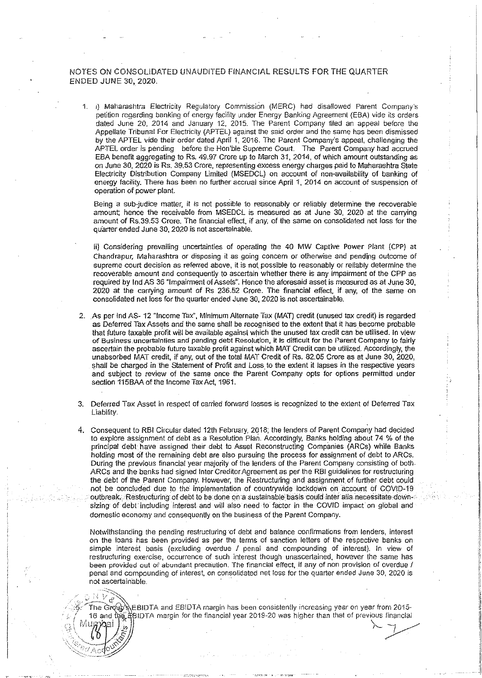## NOTES ON CONSOLIDATED UNAUDITED FINANCIAL RESULTS FOR THE QUARTER ENDED JUNE 30, 2020.

1. i) Maharashtra Electricity Regulatory Commission (MERC) had disallowed Parent Company's petition regarding banking of energy facility under Energy Banking Agreement (EBA) vide its orders dated June 20, 2014 and January 12, 2015. The Parent Company filed an appeal before the Appellate Tribunal For Electricity (APTEL) against the said order and the same has been dismissed by the APTEL vide their order dated April 1, 2016. The Parent Company's appeal, challenging the APTEL order is pending before the Hon'ble Suprerne Court. The Parent Company had accrued EBA benefit aggregating to Rs. 49.97 Crore up to March 31, 2014, of which amount outstanding as on June 30, 2020 is Rs. 39.53 Crore, representing excess energy charges paid to Maharashtra State Electricity Distribution Company Limited (MSEDCL) on account of non-availability of banking of energy facility. There has been no further accrual since April 1, 2014 on account of suspension of operation of power plant

Being a sub-judice matter, it is not possible to reasonably or reliably determine the recoverable amount, hence the receivable from MSEDCL is measured as at June 30, 2020 at the carrying amount of Rs.39.53 Crore. The financial effect, if any, of the same on consolidated net loss for the quarter ended June 30, 2020 is not ascertainable.

ii) Considering prevailing uncertainties of operating the 40 MW Captive Power Plant (CPP) at Chandrapur, Maharashtra or disposing it as going concern or otherwise and pending outcome of supreme court decision as referred above, it is not possible to reasonably or reliably determine the recoverable amount and consequently to ascertain whether there is any impairment of the CPP as required by lnd AS 36 "Impairment of Assets". Hence the aforesaid asset is measured as at June 30, 2020 at the carrying amount of Rs 236.52 Crore. The financial effect if any, of the same on consolidated net loss for the quarter ended June 30, 2020 is not ascertainable.

- 2. As per lnd AS- 12 "Income Tax", Minimum Alternate Tax (MAT) credit (unused tax credit) is regarded as Deferred Tax Assets and the same shall be recognised to the extent that it has become probable that future taxable profit will be available against which the unused tax credit can be utilised. In view **of Business uncertainties and pending debt Resolution, it is difficult for the Parent Company to fairly**  ascertain the probable future taxable profit against which MAT Credit can be utilized. Accordingly, the unabsorbed MAT credit, if any, out of the total MAT Credit of Rs. 82.05 Crore as at June 30, 2020, shall be charged in the Statement of Profit and Loss to the extent it lapses in the respective years and subject to review of the same once the Parent Company opts for options permitted under section 115BAA of the Income Tax Act, 1961.
- 3. Deferred Tax Asset in respect of carried f01ward losses is recognized to the extent of Deferred Tax Liability.
- 4. Consequent to RBI Circular dated 12th February, 2018; the lenders of Parent Company had decided to explore assignment of debt as a Resolution Plan. Accordingly, Banks holding about 74 % of the principal debt have assigned their debt to Asset Reconstructing Companies (ARCs) while Banks holding most of the remaining debt are also pursuing the process for assignment of debt to ARCs. During the previous financial year majority of the lenders of the Parent Company consisting of both ARCs and the banks had signed Inter Creditor Agreement as per the RBI guidelines for restructuring the debt of the Parent Company. However, the Restructuring and assignment of further debt could. not be concluded due to the implementation of countrywide lockdown on account of COVID-19 outbreak .. Restructuring of debt to be done on a sustainable basis could inter alia necessitate downsizing of debt including interest and will also need to factor in the COVID impact on global and domestic economy and consequently on the business of the Parent Company.

Notwithstanding the pending restructuring ·of debt and balance confirmations from lenders, interest on the loans has been provided as per the terms of sanction letters of the respective banks on simple interest basis (excluding overdue I penal and compounding of interest). In view of restructuring exercise, occurrence of such interest though unascertained, however the same has been provided out of abundant precaution. The financial effect, if any of non provision of overdue / penal and compounding of interest, on consolidated net loss for the quarter ended June 30, 2020 is not ascertainable.

 $\hat{T}$ he Group & EBIDTA and EBIDTA margin has been consistently increasing year on year from 2015-16 and the BIDTA margin for the financial year 2019-20 was higher than that of previous financial **Murphali**  $\begin{pmatrix} 0 & 0 \\ 0 & 0 \\ 0 & 0 \\ 0 & 0 \end{pmatrix}$ 

 $\sim$ 

 $\langle 6 \rangle$   $\langle \ddot{s} \rangle$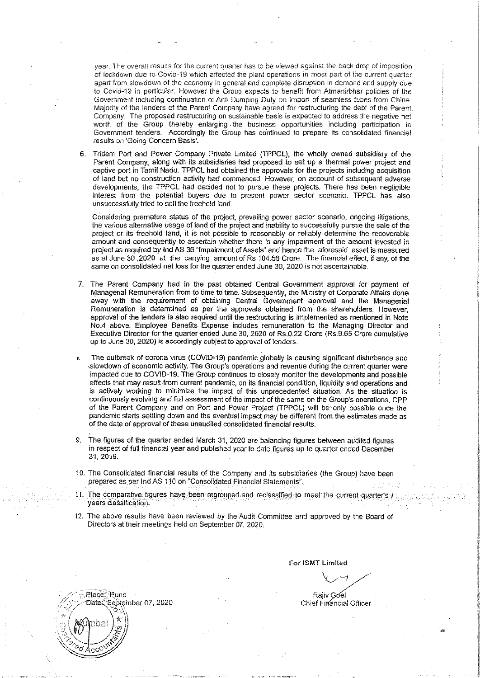year. The overall results for the current quaner has to be viewed against the back drop of imposition of lockdovm due to Covld-19 which affected the plant operations in most pari of the current quarter apart from slowdown of the economy in general and complete disruption in demand and supply due to Covid-19 in particuiac Hovvever the Grouo expects to benefit from Atmanirbhar policies of the Government including continuation of Anti Dumping Duty on import of seamless tubes from China. Majority of the lenders of the Parent Company have agreed for restructuring the debt of the Parent Company\_ The proposed restructuring on sustainable basis is expected to address the negative net worth of the Group thereby enlarging . the business opportunities including participation in Government tenders. Accordingly the Group has continued to prepare its consolidated financial results on 'Going Concern Basis'.

6. Tridem Port and Power Company Private Limited (TPPCL), the wholly owned subsidiary of the Parent Company, along with its subsidiaries had proposed to set up a thermal power project and captive port in Tamil Nadu. TPPCL had obtained the approvals for the projects including acquisition of land but no construction activity had commenced. However, on account of subsequent adverse developments, the TPPCL had decided not to pursue these projects. There has been negligible interest from the potential buyers due to present power sector scenario. TPPCL has also unsuccessfully tried to sell the freehold land.

Considering premature status of the project, prevailing power sector scenario, ongoing litigations, the various alternative usage of land of the project and inability to successfully pursue the sale of the project or its freehold land, it is not possible to reasonably or reliably determine the recoverable amount and consequently to ascertain whether there is any impairment of the amount invested in project as required by lnd AS 36 'Impairment of Assets" and hence the aforesaid asset is measured as at June 30 ,2020 at the carrying amount of Rs 104.56 Crore. The financial effect, if any, of the same on consolidated net loss for the quarter ended June 30, *2020* is not ascertainable.

- 7. The Parent Company had in the past obtained Central Government approval for payment of Managerial Remuneration from to time to time. Subsequently, the Ministry of Corporate Affairs done away with the requirement of obtaining Central Government approval and the Managerial Remuneration is determined as per the approvals obtained from the shareholders. However, approval of the lenders is also required until the restructuring is implemented as mentioned in Note No.4 above. Employee Benefits Expense includes remuneration to the Managing Director and Executive Director for the quarter ended June 30, 2020 of Rs.0.22 Crore (Rs.9.65 Crore cumulative up to June 30, 2020) is accordingly subject to approval of lenders.
- The outbreak of corona virus (COVID-19) pandemic globally is causing significant disturbance and ,slowdown of economic activity. The Group's operations and revenue during the current quarter were impacted due to COVID-19. The Group continues to closely monitor the developments and possible effects that may result from current pandemic, on its financial condition, liquidity and operations and is actively working to minimize the impact of this unprecedented situation. As the situation is continuously evolving and full assessment of the impact of the same on the Group's operations, CPP of the Parent Company and on Port and Power Project (TPPCL) will be only possible once the pandemic starts setlling down and the eventual impact may be different from the estimates made as of the date of approval of these unaudited consolidated financial results.
- 9. The figures of the quarter ended March 31, 2020 are balancing figures between audited figures in respect of full financial year and published year to date figures up to quarter ended December 31, 2019.
- 10. The Consolidated financial results of the Company and its subsidiaries (the Group) have been prepared as per Ind AS 110 on "Consolidated Financial Statements".
- II. The comparative figures have been regrouped and reclassified to meet the current quarter's vears classification.
- 12. The above results have been reviewed by the Audit Committee and approved by the Board of Directors at their meetings held on September 07, 2020.

For ISMT Limited  $-$ 

Rajiv Goel Chief Financial Officer

Place: Rune Date: September 07, 2020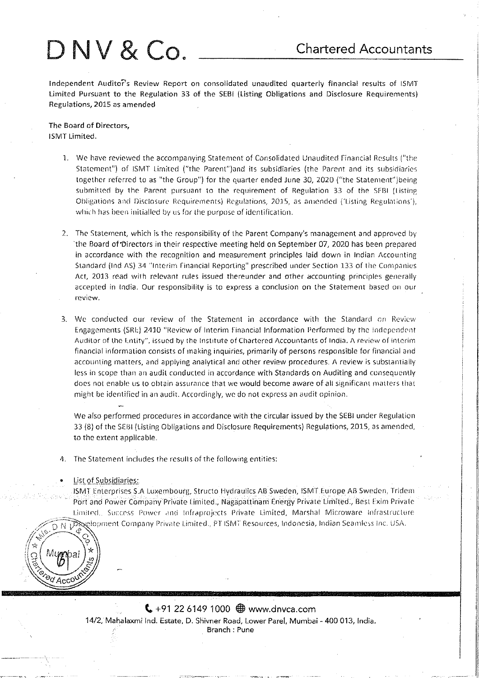# $DW & Co.$  Chartered Accountants

Independent Audito?s Review Report on consolidated unaudited quarterly financial results of ISMT Limited Pursuant to the Regulation 33 of the SEBI (listing Obligations and Disclosure Requirements) Regulations, 2015 as amended

The Board of Directors, ISMT Limited.

- l. We have reviewed the accompanying Statement of Consolidated Unaudited financial Results ("the Statement") of ISMT Limited ("the Parent")and its subsidiaries (the Parent and its subsidiaries together referred to as "the Group") for the quarter ended June 30, 2020 ("the Statement")being submitted by the Parent pursuant to the requirement of Regulation 33 of the SFBI (Listing Obligations and Disclosure Requirements) Regulations, 2015, as amended ('Listing Regulations'), which has been initialled by us for the purpose of identification.
- 2. The Statement, which is the responsibility of ihc Parent Company's management and approved by the Board of Directors in their respective meeting held on September 07, 2020 has been prepared in accordance with the recognition and measurement principles laid down in Indian Accounting Standard (Ind AS) 34 "Interim Financial Reporting" prescribed under Section 133 of the Companies Act, 2013 read with relevant rules issued thereunder and other accounting principles generally accepted in India. Our responsibility is to express a conclusion on the Statement based on our review.
- 3. We conducted our review of the Statement in accordance with the Standard on Review Engagements (SRL) 2410 "Review of Interim Financial Information Performed by the Independent Auditor of the Entity", issued by the Institute of Chartered Accountants of India. A review of interim financial information consists of making inquiries, primarily of persons responsible for financial and accounting matters, and applying analytical and other review procedures. A review is substantially less in scope than an audit conducted in accordance with Standards on Auditing and consequently does not enable us to obtain assurance that we would become aware of all significant matters that might be identified in an audit. Accordingly, we do not express an audit opinion.

We also performed procedures in accordance with the circular issued by the SEBI under Regulation 33 (8) of the SEBI (Listing Obligations and Disclosure Requirements) Regulations, 2015, as amended, to the extent applicable.

- The Statement includes the results of the following entities:
- List of Subsidiaries:

ISMT Enterprises S.A Luxembourg, Structo Hydraulics AB Sweden, ISMT Europe AB Sweden, Tridem Port and Power Company Private Limited., Nagapattinam Energy Private Limited., Best Exim Privalc Limited. Success Power and Infraprojects Private Limited, Marshal Microware Infrastructure  $\sqrt{D} \overrightarrow{N}$   $\overrightarrow{V}$  pelopment Company Private Limited., PT ISMT Resources, Indonesia, Indian Seamless Inc. USA.



 $\left($  +91 22 6149 1000  $\oplus$  www.dnvca.com 14/2, Mahalaxmi Ind. Estate, D. Shivner Road, Lower Pare!, Mumbai- 400 013, India. Branch : Pune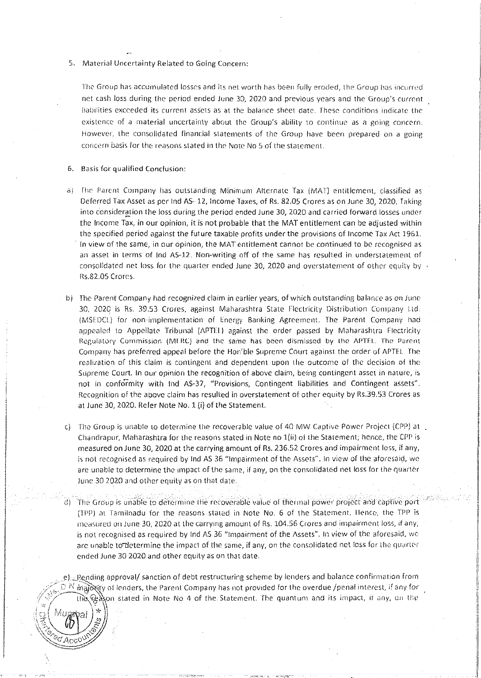S. Material Uncertainty Related to Going Concern;

The Group has accumulated losses and its net worth has been fully eroded, the Group has incurred net rash loss during the period ended June 30, 2020 and previous years and the Group's current liabilities exceeded its current assets as at the balance sheet date. These conditions indicate the existence of a material uncertainty about the Group's ability to continue as a going concern. However, the consolidated financial statements of the Group have been prepared on a going concern basis for the reasons stated in the Nore No 5 of the statement.

6. Basis for qualified Conclusion:

-., '"'' ' <sup>~</sup> *:.-r ?,,* \ ••

*'\-=3-""* 

 $\mathcal{L}$   $\mathcal{L}$ ,<br>,  $\mathcal{P}$ c

\<u>```\```````\````</u>  $\mathcal{L}^{a}$ Acc $\circ$ 

ai  $\left.\left.\right|_{\mathcal{Q}}^{\mathcal{F}}\right|\right\}$  .

- a) The Parent Company has outstanding Minimum Alternate Tax (MAT) entitlement, classified as Deferred Tax Asset as per lnd AS· 12, Income Taxes, of Rs. 82.05 Crores as on June 30, 2020. Takinp, into consideration the loss during the period ended June 30, 2020 and carried forward losses under the Income Tax, in our opinion, it is not probable that the MAT entitlement can be adjusted within the specified period against the future taxable profits under the provisions of Income Tax Act 1961. In view of the same, in our opinion, the MAT entitlement cannot be continued to be recognised as an asset in terms of Ind AS-12. Non-writing off of the same has resulted in understatement of consolidated net loss for the quarter ended June 30, 2020 and overstatement of other equity by  $\overline{v}$ Rs.82.05 Crores.
- b) The Parent Company had recognized claim in earlier years, of which outstanding balance as on June 30, 2020 is Rs. 39.53 Crores, against Maharashtra State Flectricity Distribution Company Ltd. (MSLDCt.} for non ·implementation of Energy Banking Agreement. The Parent Company had appealed to Appellate Tribunal (APTEL) against the order passed by Maharashtra Flectricity Regulatory Commission (MERC) and the same has been dismissed by the APTEL. The Parent-Company has preferred appeal before the Hon'ble Supreme Court against the order of APTEL The realization of this claim is contingent and dependent upon the outcome of the decision of the Supreme Court. In our opinion the recognition of above claim, being contingent asset in nature, is not in conformity with lnd AS-37, "Provisions, Contingent liabilities and Contingent assets". Recognition of the above claim has resulted in overstatement of other equity by Rs.39.53 Crores as at june 30, 2020. Hefer Note No.1 (i) of the Statement.
- c) The Group is unable to determine the recoverable value of 40 MW Captive Power Project (CPP) at Chandrapur, Maharashtra for the reasons stated in Note no  $1(ii)$  of the Statement; hence, the CPP is measured on June 30, 2020 at the carrying amount of Rs. 236.52 Crores and impairment loss, if any, is not recognised as required by Ind AS 36 "Impairment of the Assets". In view of the aforesaid, we are unable to determine the impact of the same, if any, on the consolidated net loss for the quarter June 30 2020 and other equity as on that date.
	- The Group is unable to determine the recoverable value of thermal power project and captive port (TPP) at Tamilnadu for the reasons stated in Note No. 6 of the Statement. Hence, the TPP is measured on June 30, 2020 at the carrying amount of Rs. 104.56 Crores and impairment loss, if any, is not recognised as required by Ind AS 36 "Impairment of the Assets". In view of the aforesaid, we are unable to determine the impact of the same, if any, on the consolidated net loss for the quarter ended June 30 2020 and other equity as on that date\_

e). Rending approval/ sanction of debt restructuring scheme by lenders and balance confirmation from  $\mathbb{P}~^\mathbb{N}$  majoxity of lenders, the Parent Company has not provided for the overdue /penal interest, if any for the Eason stated in Note No 4 of the Statement. The quantum and its impact, if any, on the  $\binom{1}{\infty}$  (Mupabai)  $\ast$ 

I